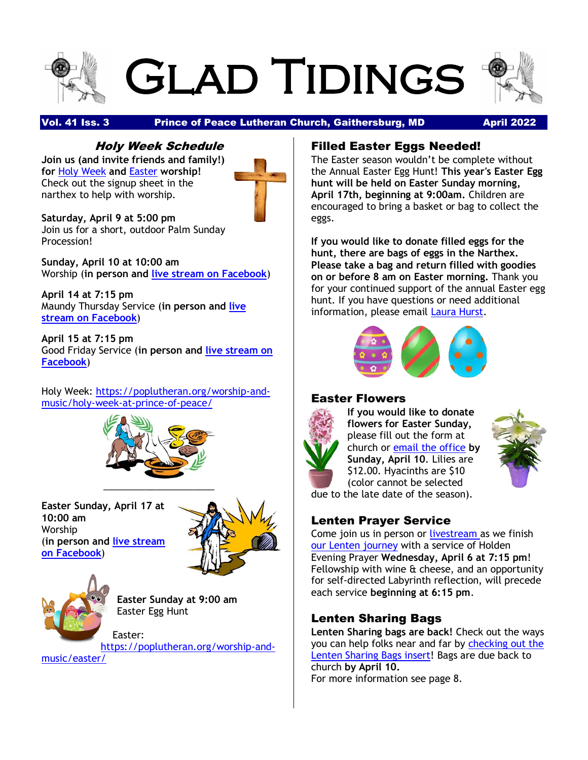# Glad Tidings



#### Vol. 41 Iss. 3 **Prince of Peace Lutheran Church, Gaithersburg, MD** April 2022

#### Holy Week Schedule

**Join us (and invite friends and family!) for** [Holy Week](https://r20.rs6.net/tn.jsp?f=0018j-MR823wIpPeyab7Bpi38Gm1wJ1X6Ni70vJ9qv8X4qnXGpv-D7GkFFUfYW6U35peZTuKngWZ3LPSm9LF1uvPbs4s4Gq2ae7w7z8wwxqLmvAmhamkplkwjF4S5gn1ZJbpP3o-k9xELpGn9e9uuBwwJa5HeQPS3tGvZBeBjCFJE-wQxEouFigbWeopBNFbqszFwZKKX6M1CWvU6q34ehIIg==&c=IrcwDMYJTpmdI2UweW34_MC4OtzR8cb9Gk3qqIZwBZwLwTbiJQ3-hg==&ch=tcJ9ApgnIKuzYb6KFJxwkd9CbdPxHNrBLAgbqn6u2ptheQ8oIVGXLQ==) **and** [Easter](https://r20.rs6.net/tn.jsp?f=0018j-MR823wIpPeyab7Bpi38Gm1wJ1X6Ni70vJ9qv8X4qnXGpv-D7GkFFUfYW6U35pVHyuv9efalf3eFCkd5S_T3UGMzqlntGWbtPfmOBiYXxgW4yMKf7LQqAsHvwyQgCodza2YilvQWKbmGIkKOaRN7FULq8KLvv2p1rf3eBYP67QpEa2b5qL2g==&c=IrcwDMYJTpmdI2UweW34_MC4OtzR8cb9Gk3qqIZwBZwLwTbiJQ3-hg==&ch=tcJ9ApgnIKuzYb6KFJxwkd9CbdPxHNrBLAgbqn6u2ptheQ8oIVGXLQ==) **worship!** Check out the signup sheet in the narthex to help with worship.



**Saturday, April 9 at 5:00 pm** Join us for a short, outdoor Palm Sunday Procession!

**Sunday, April 10 at 10:00 am** Worship (**in person and [live stream on Facebook](https://www.facebook.com/Prince-of-Peace-Lutheran-Church-129128030434397/)**)

**April 14 at 7:15 pm** Maundy Thursday Service (**in person and [live](https://www.facebook.com/Prince-of-Peace-Lutheran-Church-129128030434397/)  [stream on Facebook](https://www.facebook.com/Prince-of-Peace-Lutheran-Church-129128030434397/)**)

**April 15 at 7:15 pm** Good Friday Service (**in person and [live stream on](https://www.facebook.com/Prince-of-Peace-Lutheran-Church-129128030434397/)  [Facebook](https://www.facebook.com/Prince-of-Peace-Lutheran-Church-129128030434397/)**)

Holy Week: [https://poplutheran.org/worship-and](https://poplutheran.org/worship-and-music/holy-week-at-prince-of-peace/)[music/holy-week-at-prince-of-peace/](https://poplutheran.org/worship-and-music/holy-week-at-prince-of-peace/)



**Easter Sunday, April 17 at 10:00 am** Worship (**in person and [live stream](https://www.facebook.com/Prince-of-Peace-Lutheran-Church-129128030434397/)  [on Facebook](https://www.facebook.com/Prince-of-Peace-Lutheran-Church-129128030434397/)**)





**Easter Sunday at 9:00 am** Easter Egg Hunt

Easter: [https://poplutheran.org/worship-and](https://poplutheran.org/worship-and-music/easter/)[music/easter/](https://poplutheran.org/worship-and-music/easter/)

Filled Easter Eggs Needed!

The Easter season wouldn't be complete without the Annual Easter Egg Hunt! **This year's Easter Egg hunt will be held on Easter Sunday morning, April 17th, beginning at 9:00am.** Children are encouraged to bring a basket or bag to collect the eggs.

**If you would like to donate filled eggs for the hunt, there are bags of eggs in the Narthex. Please take a bag and return filled with goodies on or before 8 am on Easter morning.** Thank you for your continued support of the annual Easter egg hunt. If you have questions or need additional information, please email [Laura Hurst.](mailto:LauraCorbinHurst@yahoo.com)



#### Easter Flowers



**If you would like to donate flowers for Easter Sunday,** please fill out the form at church or [email the office](mailto:office@poplutheran.org) **by Sunday, April 10**. Lilies are \$12.00. Hyacinths are \$10 (color cannot be selected



due to the late date of the season).

#### Lenten Prayer Service

Come join us in person or [livestream](https://r20.rs6.net/tn.jsp?f=001s9q6U6v-BTFArNosHZ-j8WzU6uqR9yK8zj-7s2CZSwo6cXrZ9dZqyqCJPCbGt8oHuAgeFtDW_N78pzunRsIWrodStp7fO3inQqP5NFmeSFgRLu0XHBthSHb5qA7VNqBQFuVpJ-nRnaHhRNdD5BJYpEceJb5w3uVUtFbahO5inKE=&c=VfqLPOV33kCQiWXUedsznGQmqo1PLGxbh4ZVMxYDAHx7T3381-5JnA==&ch=jTqiZdPvMm3iesAqRCUKaH5k40lQg0ezFDBiZ6zQdmIXDPC9hNs1bw==) as we finish [our Lenten](https://r20.rs6.net/tn.jsp?f=001s9q6U6v-BTFArNosHZ-j8WzU6uqR9yK8zj-7s2CZSwo6cXrZ9dZqyrCqhBA-r82dLerkJhvqZDsEZHbgI3XA9YDaIBTuC22BxAoTzYpREw78iAhDJHUSStN72rKFUk4iwQIJ_qpmfuXqY1gm4PmBA2smDhQv6QS7chXtBQmGLtwYKO1jXdooZtQ0-TUi0HDjgef9a4Rkbvg=&c=VfqLPOV33kCQiWXUedsznGQmqo1PLGxbh4ZVMxYDAHx7T3381-5JnA==&ch=jTqiZdPvMm3iesAqRCUKaH5k40lQg0ezFDBiZ6zQdmIXDPC9hNs1bw==) journey with a service of Holden Evening Prayer **Wednesday, April 6 at 7:15 pm**! Fellowship with wine  $\hat{a}$  cheese, and an opportunity for self-directed Labyrinth reflection, will precede each service **beginning at 6:15 pm**.

#### Lenten Sharing Bags

**Lenten Sharing bags are back!** Check out the ways you can help folks near and far by [checking out the](https://r20.rs6.net/tn.jsp?f=001s9q6U6v-BTFArNosHZ-j8WzU6uqR9yK8zj-7s2CZSwo6cXrZ9dZqyr0CQ3TaCTKe5IGOTpXF6tTRGjZGZuQXcEijF6EQgqtlR_03kyWKZO7IgqfRSr343TaOfXyDA_bCEfAzbgD0gWQS71ipM1NEsL9t6vROjLOrI12HAx2i9tF2HzLMLy1XMKxdij4C31BWTX6g31wnKrFJ3vsBdpqVMJAD7UP-RyRhDbcKid7LiwE=&c=VfqLPOV33kCQiWXUedsznGQmqo1PLGxbh4ZVMxYDAHx7T3381-5JnA==&ch=jTqiZdPvMm3iesAqRCUKaH5k40lQg0ezFDBiZ6zQdmIXDPC9hNs1bw==)  [Lenten Sharing Bags insert!](https://r20.rs6.net/tn.jsp?f=001s9q6U6v-BTFArNosHZ-j8WzU6uqR9yK8zj-7s2CZSwo6cXrZ9dZqyr0CQ3TaCTKe5IGOTpXF6tTRGjZGZuQXcEijF6EQgqtlR_03kyWKZO7IgqfRSr343TaOfXyDA_bCEfAzbgD0gWQS71ipM1NEsL9t6vROjLOrI12HAx2i9tF2HzLMLy1XMKxdij4C31BWTX6g31wnKrFJ3vsBdpqVMJAD7UP-RyRhDbcKid7LiwE=&c=VfqLPOV33kCQiWXUedsznGQmqo1PLGxbh4ZVMxYDAHx7T3381-5JnA==&ch=jTqiZdPvMm3iesAqRCUKaH5k40lQg0ezFDBiZ6zQdmIXDPC9hNs1bw==) Bags are due back to church **by April 10.** For more information see page 8.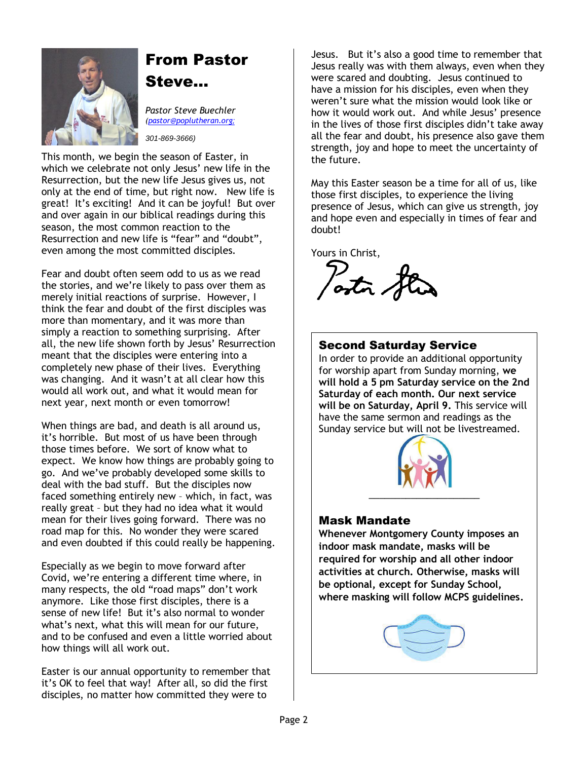

## From Pastor

Steve…

*Pastor Steve Buechler [\(pastor@poplutheran.org](mailto:pastor@poplutheran.org); 301-869-3666)*

This month, we begin the season of Easter, in which we celebrate not only Jesus' new life in the Resurrection, but the new life Jesus gives us, not only at the end of time, but right now. New life is great! It's exciting! And it can be joyful! But over and over again in our biblical readings during this season, the most common reaction to the Resurrection and new life is "fear" and "doubt", even among the most committed disciples.

Fear and doubt often seem odd to us as we read the stories, and we're likely to pass over them as merely initial reactions of surprise. However, I think the fear and doubt of the first disciples was more than momentary, and it was more than simply a reaction to something surprising. After all, the new life shown forth by Jesus' Resurrection meant that the disciples were entering into a completely new phase of their lives. Everything was changing. And it wasn't at all clear how this would all work out, and what it would mean for next year, next month or even tomorrow!

When things are bad, and death is all around us, it's horrible. But most of us have been through those times before. We sort of know what to expect. We know how things are probably going to go. And we've probably developed some skills to deal with the bad stuff. But the disciples now faced something entirely new – which, in fact, was really great – but they had no idea what it would mean for their lives going forward. There was no road map for this. No wonder they were scared and even doubted if this could really be happening.

Especially as we begin to move forward after Covid, we're entering a different time where, in many respects, the old "road maps" don't work anymore. Like those first disciples, there is a sense of new life! But it's also normal to wonder what's next, what this will mean for our future, and to be confused and even a little worried about how things will all work out.

Easter is our annual opportunity to remember that it's OK to feel that way! After all, so did the first disciples, no matter how committed they were to

Jesus. But it's also a good time to remember that Jesus really was with them always, even when they were scared and doubting. Jesus continued to have a mission for his disciples, even when they weren't sure what the mission would look like or how it would work out. And while Jesus' presence in the lives of those first disciples didn't take away all the fear and doubt, his presence also gave them strength, joy and hope to meet the uncertainty of the future.

May this Easter season be a time for all of us, like those first disciples, to experience the living presence of Jesus, which can give us strength, joy and hope even and especially in times of fear and doubt!

Yours in Christ,

astro of

#### Second Saturday Service

In order to provide an additional opportunity for worship apart from Sunday morning, **we will hold a 5 pm Saturday service on the 2nd Saturday of each month. Our next service will be on Saturday, April 9.** This service will have the same sermon and readings as the Sunday service but will not be livestreamed.



#### Mask Mandate

**Whenever Montgomery County imposes an indoor mask mandate, masks will be required for worship and all other indoor activities at church. Otherwise, masks will be optional, except for Sunday School, where masking will follow MCPS guidelines.**

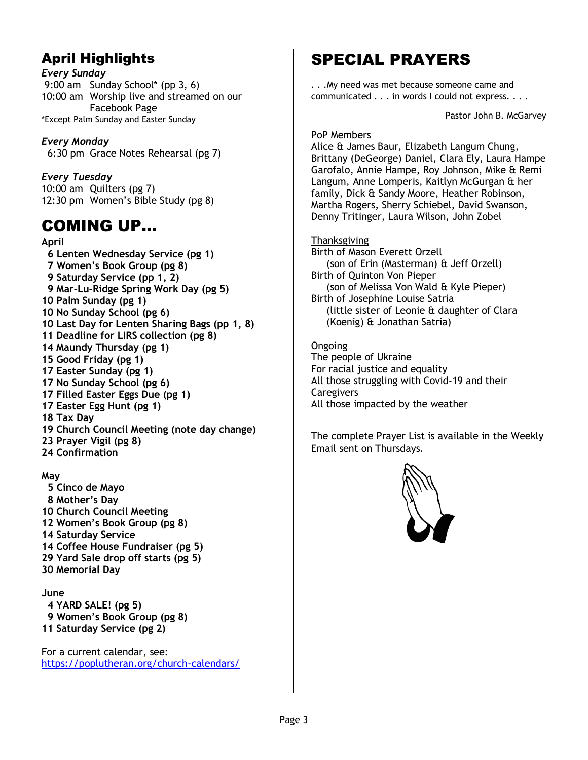## April Highlights

*Every Sunday* 9:00 am Sunday School\* (pp 3, 6) 10:00 am Worship live and streamed on our Facebook Page \*Except Palm Sunday and Easter Sunday

*Every Monday* 6:30 pm Grace Notes Rehearsal (pg 7)

*Every Tuesday* 10:00 am Quilters (pg 7) 12:30 pm Women's Bible Study (pg 8)

## COMING UP…

**April 6 Lenten Wednesday Service (pg 1) 7 Women's Book Group (pg 8) 9 Saturday Service (pp 1, 2) 9 Mar-Lu-Ridge Spring Work Day (pg 5) 10 Palm Sunday (pg 1) 10 No Sunday School (pg 6) 10 Last Day for Lenten Sharing Bags (pp 1, 8) 11 Deadline for LIRS collection (pg 8) 14 Maundy Thursday (pg 1) 15 Good Friday (pg 1) 17 Easter Sunday (pg 1) 17 No Sunday School (pg 6) 17 Filled Easter Eggs Due (pg 1) 17 Easter Egg Hunt (pg 1) 18 Tax Day 19 Church Council Meeting (note day change) 23 Prayer Vigil (pg 8) 24 Confirmation**

#### **May**

 **5 Cinco de Mayo 8 Mother's Day 10 Church Council Meeting 12 Women's Book Group (pg 8) 14 Saturday Service 14 Coffee House Fundraiser (pg 5) 29 Yard Sale drop off starts (pg 5) 30 Memorial Day**

#### **June**

 **4 YARD SALE! (pg 5) 9 Women's Book Group (pg 8) 11 Saturday Service (pg 2)**

For a current calendar, see: <https://poplutheran.org/church-calendars/>

## SPECIAL PRAYERS

. . .My need was met because someone came and communicated . . . in words I could not express. . . .

Pastor John B. McGarvey

#### PoP Members

Alice & James Baur, Elizabeth Langum Chung, Brittany (DeGeorge) Daniel, Clara Ely, Laura Hampe Garofalo, Annie Hampe, Roy Johnson, Mike & Remi Langum, Anne Lomperis, Kaitlyn McGurgan & her family, Dick & Sandy Moore, Heather Robinson, Martha Rogers, Sherry Schiebel, David Swanson, Denny Tritinger, Laura Wilson, John Zobel

#### Thanksgiving

Birth of Mason Everett Orzell (son of Erin (Masterman) & Jeff Orzell) Birth of Quinton Von Pieper (son of Melissa Von Wald & Kyle Pieper) Birth of Josephine Louise Satria (little sister of Leonie & daughter of Clara (Koenig) & Jonathan Satria)

Ongoing The people of Ukraine For racial justice and equality All those struggling with Covid-19 and their **Caregivers** All those impacted by the weather

The complete Prayer List is available in the Weekly Email sent on Thursdays.

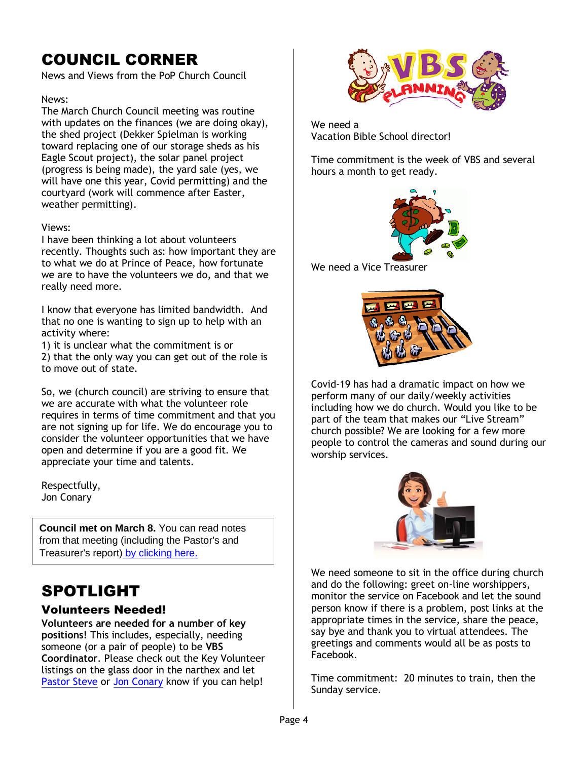## COUNCIL CORNER

News and Views from the PoP Church Council

#### News:

The March Church Council meeting was routine with updates on the finances (we are doing okay), the shed project (Dekker Spielman is working toward replacing one of our storage sheds as his Eagle Scout project), the solar panel project (progress is being made), the yard sale (yes, we will have one this year, Covid permitting) and the courtyard (work will commence after Easter, weather permitting).

#### Views:

I have been thinking a lot about volunteers recently. Thoughts such as: how important they are to what we do at Prince of Peace, how fortunate we are to have the volunteers we do, and that we really need more.

I know that everyone has limited bandwidth. And that no one is wanting to sign up to help with an activity where:

1) it is unclear what the commitment is or

2) that the only way you can get out of the role is to move out of state.

So, we (church council) are striving to ensure that we are accurate with what the volunteer role requires in terms of time commitment and that you are not signing up for life. We do encourage you to consider the volunteer opportunities that we have open and determine if you are a good fit. We appreciate your time and talents.

Respectfully, Jon Conary

**Council met on March 8.** You can read notes from that meeting (including the Pastor's and Treasurer's report) [by clicking here.](https://r20.rs6.net/tn.jsp?f=001s9q6U6v-BTFArNosHZ-j8WzU6uqR9yK8zj-7s2CZSwo6cXrZ9dZqypoTosgmnsI0eo55PG3tP1IhMffCTYjkXStpo80LceV37jk-13dYF9d8S9NGSaaHLcFI8gG07Ahq5c6gdoyiWGzLAlDB8Mq205nUZg2MxAma2Cy52xNcAI2RbPArPBOGQJLn3jsm17lOAST9DTfzAqxaYjxOLOrpj59uuiaZMyxTw50YEYX48yA=&c=VfqLPOV33kCQiWXUedsznGQmqo1PLGxbh4ZVMxYDAHx7T3381-5JnA==&ch=jTqiZdPvMm3iesAqRCUKaH5k40lQg0ezFDBiZ6zQdmIXDPC9hNs1bw==)

## SPOTLIGHT

#### Volunteers Needed!

**Volunteers are needed for a number of key positions!** This includes, especially, needing someone (or a pair of people) to be **VBS Coordinator**. Please check out the Key Volunteer listings on the glass door in the narthex and let [Pastor Steve](mailto:pastor@poplutheran.org) or [Jon Conary](mailto:drjon2018@gmail.com) know if you can help!



We need a Vacation Bible School director!

Time commitment is the week of VBS and several hours a month to get ready.



We need a Vice Treasurer



Covid-19 has had a dramatic impact on how we perform many of our daily/weekly activities including how we do church. Would you like to be part of the team that makes our "Live Stream" church possible? We are looking for a few more people to control the cameras and sound during our worship services.



We need someone to sit in the office during church and do the following: greet on-line worshippers, monitor the service on Facebook and let the sound person know if there is a problem, post links at the appropriate times in the service, share the peace, say bye and thank you to virtual attendees. The greetings and comments would all be as posts to Facebook.

Time commitment: 20 minutes to train, then the Sunday service.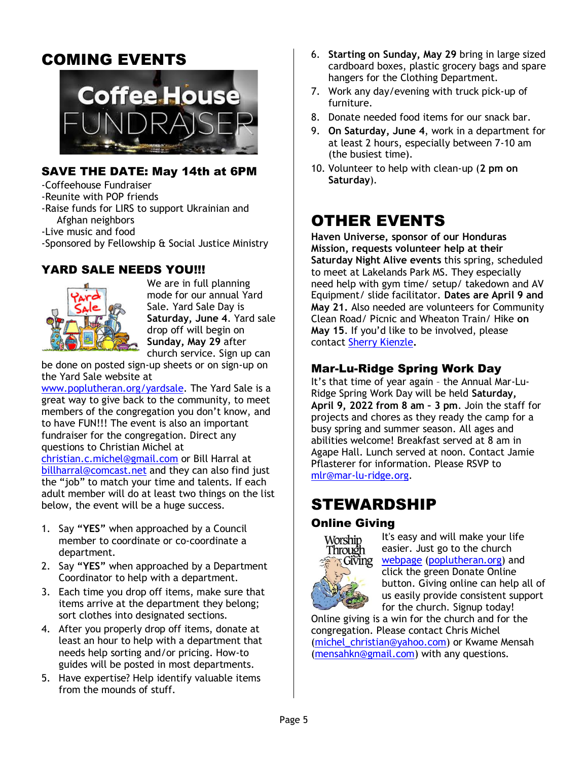## COMING EVENTS



#### SAVE THE DATE: May 14th at 6PM

-Coffeehouse Fundraiser

-Reunite with POP friends

-Raise funds for LIRS to support Ukrainian and Afghan neighbors

-Live music and food

-Sponsored by Fellowship & Social Justice Ministry

#### YARD SALE NEEDS YOU!!!



We are in full planning mode for our annual Yard Sale. Yard Sale Day is **Saturday, June 4**. Yard sale drop off will begin on **Sunday, May 29** after church service. Sign up can

be done on posted sign-up sheets or on sign-up on the Yard Sale website at

[www.poplutheran.org/yardsale.](http://www.poplutheran.org/yardsale) The Yard Sale is a great way to give back to the community, to meet members of the congregation you don't know, and to have FUN!!! The event is also an important fundraiser for the congregation. Direct any questions to Christian Michel at

[christian.c.michel@gmail.com](mailto:christian.c.michel@gmail.com) or Bill Harral at [billharral@comcast.net](mailto:billharral@comcast.net) and they can also find just the "job" to match your time and talents. If each adult member will do at least two things on the list below, the event will be a huge success.

- 1. Say **"YES"** when approached by a Council member to coordinate or co-coordinate a department.
- 2. Say **"YES"** when approached by a Department Coordinator to help with a department.
- 3. Each time you drop off items, make sure that items arrive at the department they belong; sort clothes into designated sections.
- 4. After you properly drop off items, donate at least an hour to help with a department that needs help sorting and/or pricing. How-to guides will be posted in most departments.
- 5. Have expertise? Help identify valuable items from the mounds of stuff.
- 6. **Starting on Sunday, May 29** bring in large sized cardboard boxes, plastic grocery bags and spare hangers for the Clothing Department.
- 7. Work any day/evening with truck pick-up of furniture.
- 8. Donate needed food items for our snack bar.
- 9. **On Saturday, June 4**, work in a department for at least 2 hours, especially between 7-10 am (the busiest time).
- 10. Volunteer to help with clean-up (**2 pm on Saturday**).

## OTHER EVENTS

**Haven Universe, sponsor of our Honduras Mission, requests volunteer help at their Saturday Night Alive events** this spring, scheduled to meet at Lakelands Park MS. They especially need help with gym time/ setup/ takedown and AV Equipment/ slide facilitator. **Dates are April 9 and May 21.** Also needed are volunteers for Community Clean Road/ Picnic and Wheaton Train/ Hike **on May 15**. If you'd like to be involved, please contact [Sherry Kienzle](mailto:skienzle1@yahoo.com)**.**

#### Mar-Lu-Ridge Spring Work Day

It's that time of year again – the Annual Mar-Lu-Ridge Spring Work Day will be held **Saturday, April 9, 2022 from 8 am – 3 pm**. Join the staff for projects and chores as they ready the camp for a busy spring and summer season. All ages and abilities welcome! Breakfast served at 8 am in Agape Hall. Lunch served at noon. Contact Jamie Pflasterer for information. Please RSVP to [mlr@mar-lu-ridge.org.](file:///D:/mlr@mar-lu-ridge.org)

## STEWARDSHIP

#### Online Giving



It's easy and will make your life easier. Just go to the church [webpage](http://r20.rs6.net/tn.jsp?f=001rHFNM1aRfZSTBOJddqwgWDQS23X_tjB4JzuDPzv81V02HcQudtSALkttGe3JsYQN9BS9ESE_57tyaXHx39aFiNaGnYcD_hsL3VmcT5-GTzVrUZzJZYAJIu5IMBmlFOutpVY4LcB6pIDnG5vm8HCPe7tzS3b9TB0zmTfENTWGYn8=&c=k6w6fJcGSiq5f5rKt6TjrSZmkTMnl0ppaY5MRWlW97EOcxRn1hOmwQ==&ch=2fegdWEToyiZWBUOm4zHz9pOKFoIp1blw4oiHx-DICx2aG3JYq8iwg==) [\(poplutheran.org\)](http://poplutheran.org/) and click the green Donate Online button. Giving online can help all of us easily provide consistent support for the church. Signup today!

Online giving is a win for the church and for the congregation. Please contact Chris Michel [\(michel\\_christian@yahoo.com\)](mailto:michel_christian@yahoo.com) or Kwame Mensah [\(mensahkn@gmail.com\)](mailto:mensahkn@gmail.com) with any questions.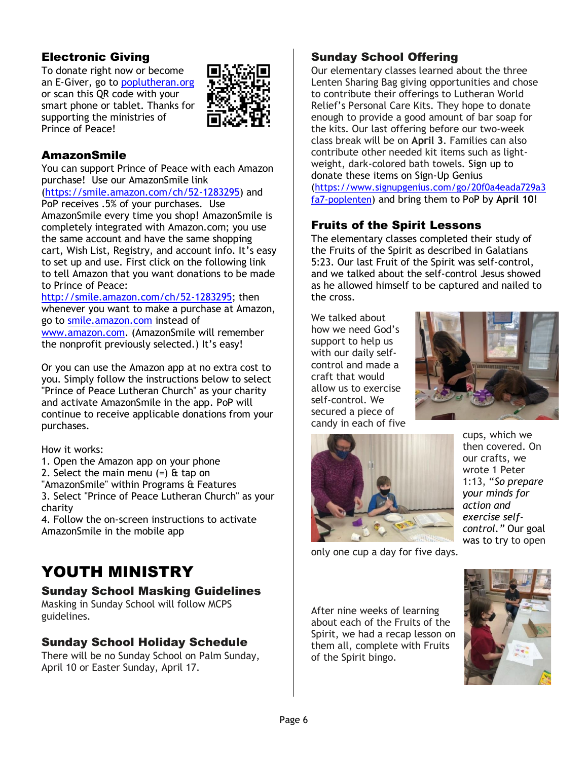#### Electronic Giving

To donate right now or become an E-Giver, go to [poplutheran.org](http://www.poplutheran.org/) or scan this QR code with your smart phone or tablet. Thanks for supporting the ministries of Prince of Peace!



#### AmazonSmile

You can support Prince of Peace with each Amazon purchase! Use our AmazonSmile link [\(https://smile.amazon.com/ch/52-1283295\)](https://smile.amazon.com/ch/52-1283295) and PoP receives .5% of your purchases. Use AmazonSmile every time you shop! AmazonSmile is completely integrated with Amazon.com; you use the same account and have the same shopping cart, Wish List, Registry, and account info. It's easy to set up and use. First click on the following link to tell Amazon that you want donations to be made to Prince of Peace:

[http://smile.amazon.com/ch/52-1283295;](http://smile.amazon.com/ch/52-1283295) then whenever you want to make a purchase at Amazon, go to [smile.amazon.com](http://smile.amazon.com/) instead of [www.amazon.com.](http://www.amazon.com/) (AmazonSmile will remember the nonprofit previously selected.) It's easy!

Or you can use the Amazon app at no extra cost to you. Simply follow the instructions below to select "Prince of Peace Lutheran Church" as your charity and activate AmazonSmile in the app. PoP will continue to receive applicable donations from your purchases.

How it works:

- 1. Open the Amazon app on your phone
- 2. Select the main menu  $(=)$  & tap on
- "AmazonSmile" within Programs & Features

3. Select "Prince of Peace Lutheran Church" as your charity

4. Follow the on-screen instructions to activate AmazonSmile in the mobile app

## YOUTH MINISTRY

#### Sunday School Masking Guidelines

Masking in Sunday School will follow MCPS guidelines.

#### Sunday School Holiday Schedule

There will be no Sunday School on Palm Sunday, April 10 or Easter Sunday, April 17.

#### Sunday School Offering

Our elementary classes learned about the three Lenten Sharing Bag giving opportunities and chose to contribute their offerings to Lutheran World Relief's Personal Care Kits. They hope to donate enough to provide a good amount of bar soap for the kits. Our last offering before our two-week class break will be on **April 3**. Families can also contribute other needed kit items such as lightweight, dark-colored bath towels. Sign up to donate these items on Sign-Up Genius

([https://www.signupgenius.com/go/20f0a4eada729a3](https://www.signupgenius.com/go/20f0a4eada729a3fa7-poplenten) [fa7-poplenten](https://www.signupgenius.com/go/20f0a4eada729a3fa7-poplenten)) and bring them to PoP by **April 10**!

#### Fruits of the Spirit Lessons

The elementary classes completed their study of the Fruits of the Spirit as described in Galatians 5:23. Our last Fruit of the Spirit was self-control, and we talked about the self-control Jesus showed as he allowed himself to be captured and nailed to the cross.

We talked about how we need God's support to help us with our daily selfcontrol and made a craft that would allow us to exercise self-control. We secured a piece of candy in each of five





cups, which we then covered. On our crafts, we wrote 1 Peter 1:13, "*So prepare your minds for action and exercise selfcontrol."* Our goal was to try to open

only one cup a day for five days.

After nine weeks of learning about each of the Fruits of the Spirit, we had a recap lesson on them all, complete with Fruits of the Spirit bingo.

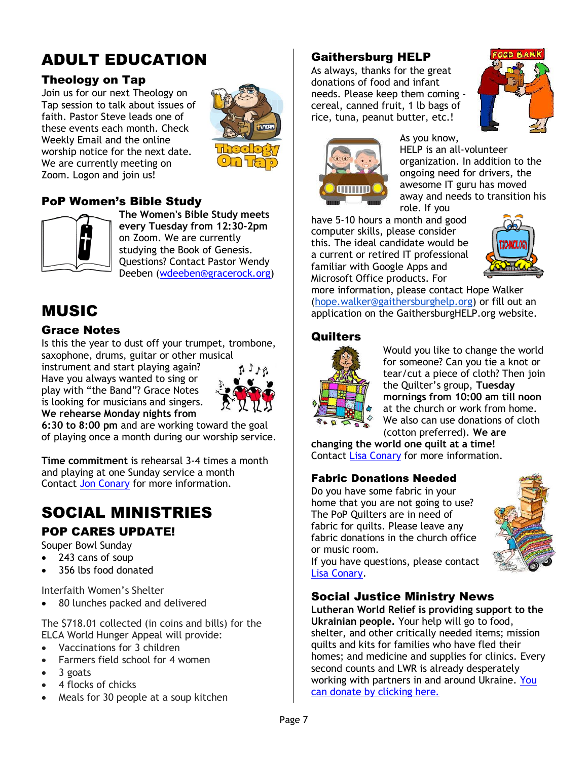## ADULT EDUCATION

#### Theology on Tap

Join us for our next Theology on Tap session to talk about issues of faith. Pastor Steve leads one of these events each month. Check Weekly Email and the online worship notice for the next date. We are currently meeting on Zoom. Logon and join us!



#### PoP Women's Bible Study



**The Women's Bible Study meets every Tuesday from 12:30-2pm** on Zoom. We are currently studying the Book of Genesis. Questions? Contact Pastor Wendy Deeben [\(wdeeben@gracerock.org\)](mailto:wdeeben@gracerock.org)

## MUSIC

#### Grace Notes

Is this the year to dust off your trumpet, trombone, saxophone, drums, guitar or other musical

instrument and start playing again? Have you always wanted to sing or play with "the Band"? Grace Notes is looking for musicians and singers. **We rehearse Monday nights from** 



**6:30 to 8:00 pm** and are working toward the goal of playing once a month during our worship service.

**Time commitment** is rehearsal 3-4 times a month and playing at one Sunday service a month Contact [Jon Conary](mailto:drjon2018@gmail.com) for more information.

## SOCIAL MINISTRIES POP CARES UPDATE!

Souper Bowl Sunday

- 243 cans of soup
- 356 lbs food donated

Interfaith Women's Shelter

• 80 lunches packed and delivered

The \$718.01 collected (in coins and bills) for the ELCA World Hunger Appeal will provide:

- Vaccinations for 3 children
- Farmers field school for 4 women
- 3 goats
- 4 flocks of chicks
- Meals for 30 people at a soup kitchen

#### Gaithersburg HELP

As always, thanks for the great donations of food and infant needs. Please keep them coming cereal, canned fruit, 1 lb bags of rice, tuna, peanut butter, etc.!





As you know, HELP is an all-volunteer organization. In addition to the ongoing need for drivers, the awesome IT guru has moved away and needs to transition his

role. If you have 5-10 hours a month and good computer skills, please consider this. The ideal candidate would be a current or retired IT professional familiar with Google Apps and Microsoft Office products. For



more information, please contact Hope Walker [\(hope.walker@gaithersburghelp.org\)](mailto:hope.walker@gaithersburghelp.org) or fill out an application on the GaithersburgHELP.org website.

#### **Quilters**



Would you like to change the world for someone? Can you tie a knot or tear/cut a piece of cloth? Then join the Quilter's group, **Tuesday mornings from 10:00 am till noon** at the church or work from home. We also can use donations of cloth (cotton preferred). **We are** 

**changing the world one quilt at a time!** Contact [Lisa Conary](mailto:lconary@prodigy.net) for more information.

#### Fabric Donations Needed

Do you have some fabric in your home that you are not going to use? The PoP Quilters are in need of fabric for quilts. Please leave any fabric donations in the church office or music room.



If you have questions, please contact [Lisa Conary.](mailto:lconary@prodigy.net)

#### Social Justice Ministry News

**Lutheran World Relief is providing support to the Ukrainian people.** Your help will go to food, shelter, and other critically needed items; mission quilts and kits for families who have fled their homes; and medicine and supplies for clinics. Every second counts and LWR is already desperately working with partners in and around Ukraine. [You](https://r20.rs6.net/tn.jsp?f=001s9q6U6v-BTFArNosHZ-j8WzU6uqR9yK8zj-7s2CZSwo6cXrZ9dZqypoTosgmnsI0f971myWt8bCitVVWJTLYWDTq0WmIJolzItkqJr_ZtNjHQMYM73lo9gqvm7sLB-9-ndGYb-8_CRvgkGpGOzDW_3Bh_B1hdpbVIf1GeBruMSYYh6DLTkRZi2YQ1i75D_qAb23x_BfhlKF81mM_Vk6Rg-wXsd9ofUTLiVJsJ3DTWgN3a6kgBhhLTxqcWicHB6KTuO2KA353-DQfjbVMe9NBlbpGclo7S4cDfaIb8Si36MRrAgsgMphSPgbh4eN7IOojiaYEuiwzW_PSpnpc9hw_nV1DuW7zb64_V7aSA_IMo7C4k44ouvwivavoxcJxiUfpuEsAuhG8hXw=&c=VfqLPOV33kCQiWXUedsznGQmqo1PLGxbh4ZVMxYDAHx7T3381-5JnA==&ch=jTqiZdPvMm3iesAqRCUKaH5k40lQg0ezFDBiZ6zQdmIXDPC9hNs1bw==)  [can donate by clicking here.](https://r20.rs6.net/tn.jsp?f=001s9q6U6v-BTFArNosHZ-j8WzU6uqR9yK8zj-7s2CZSwo6cXrZ9dZqypoTosgmnsI0f971myWt8bCitVVWJTLYWDTq0WmIJolzItkqJr_ZtNjHQMYM73lo9gqvm7sLB-9-ndGYb-8_CRvgkGpGOzDW_3Bh_B1hdpbVIf1GeBruMSYYh6DLTkRZi2YQ1i75D_qAb23x_BfhlKF81mM_Vk6Rg-wXsd9ofUTLiVJsJ3DTWgN3a6kgBhhLTxqcWicHB6KTuO2KA353-DQfjbVMe9NBlbpGclo7S4cDfaIb8Si36MRrAgsgMphSPgbh4eN7IOojiaYEuiwzW_PSpnpc9hw_nV1DuW7zb64_V7aSA_IMo7C4k44ouvwivavoxcJxiUfpuEsAuhG8hXw=&c=VfqLPOV33kCQiWXUedsznGQmqo1PLGxbh4ZVMxYDAHx7T3381-5JnA==&ch=jTqiZdPvMm3iesAqRCUKaH5k40lQg0ezFDBiZ6zQdmIXDPC9hNs1bw==)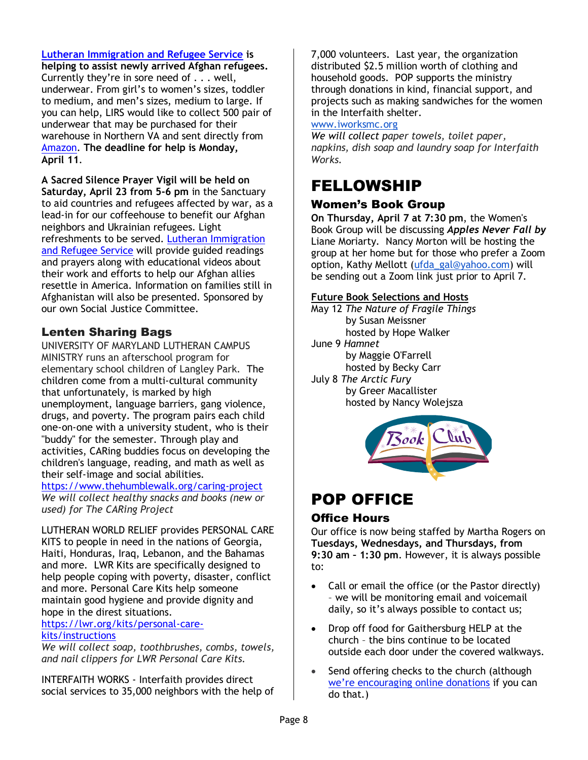#### **[Lutheran Immigration and Refugee Service](https://r20.rs6.net/tn.jsp?f=0018j-MR823wIpPeyab7Bpi38Gm1wJ1X6Ni70vJ9qv8X4qnXGpv-D7GkBaklV3YnHuYP8Qx-S8VAaoW9yUhXS7yUk0cSn7wZLgiGP_jXsNXwTQsrdN4fdAODLcZdxce6tSDn9ENy9GRxO4=&c=IrcwDMYJTpmdI2UweW34_MC4OtzR8cb9Gk3qqIZwBZwLwTbiJQ3-hg==&ch=tcJ9ApgnIKuzYb6KFJxwkd9CbdPxHNrBLAgbqn6u2ptheQ8oIVGXLQ==) is**

**helping to assist newly arrived Afghan refugees.** Currently they're in sore need of . . . well, underwear. From girl's to women's sizes, toddler to medium, and men's sizes, medium to large. If you can help, LIRS would like to collect 500 pair of underwear that may be purchased for their warehouse in Northern VA and sent directly from [Amazon.](https://r20.rs6.net/tn.jsp?f=0018j-MR823wIpPeyab7Bpi38Gm1wJ1X6Ni70vJ9qv8X4qnXGpv-D7GkBaklV3YnHuYTGP0Ago-nFTwdB7Bl237eW3bu-B1wUaFEMqX2IEkoZOTsMHNht7fcmD1dfS9goCtiMGUuYrwL7h4iTF5NNyj0ou8zmbw4_L9F6TLpg7M-aTZUIplNKE4YEP0cxbmXRb9IkJzRcKa-DVqsD50nqVlcJ1ycYsD6z6i&c=IrcwDMYJTpmdI2UweW34_MC4OtzR8cb9Gk3qqIZwBZwLwTbiJQ3-hg==&ch=tcJ9ApgnIKuzYb6KFJxwkd9CbdPxHNrBLAgbqn6u2ptheQ8oIVGXLQ==) **The deadline for help is Monday, April 11**.

**A Sacred Silence Prayer Vigil will be held on Saturday, April 23 from 5-6 pm** in the Sanctuary to aid countries and refugees affected by war, as a lead-in for our coffeehouse to benefit our Afghan neighbors and Ukrainian refugees. Light refreshments to be served. [Lutheran Immigration](https://r20.rs6.net/tn.jsp?f=0018j-MR823wIpPeyab7Bpi38Gm1wJ1X6Ni70vJ9qv8X4qnXGpv-D7GkBaklV3YnHuYP8Qx-S8VAaoW9yUhXS7yUk0cSn7wZLgiGP_jXsNXwTQsrdN4fdAODLcZdxce6tSDn9ENy9GRxO4=&c=IrcwDMYJTpmdI2UweW34_MC4OtzR8cb9Gk3qqIZwBZwLwTbiJQ3-hg==&ch=tcJ9ApgnIKuzYb6KFJxwkd9CbdPxHNrBLAgbqn6u2ptheQ8oIVGXLQ==)  [and Refugee Service](https://r20.rs6.net/tn.jsp?f=0018j-MR823wIpPeyab7Bpi38Gm1wJ1X6Ni70vJ9qv8X4qnXGpv-D7GkBaklV3YnHuYP8Qx-S8VAaoW9yUhXS7yUk0cSn7wZLgiGP_jXsNXwTQsrdN4fdAODLcZdxce6tSDn9ENy9GRxO4=&c=IrcwDMYJTpmdI2UweW34_MC4OtzR8cb9Gk3qqIZwBZwLwTbiJQ3-hg==&ch=tcJ9ApgnIKuzYb6KFJxwkd9CbdPxHNrBLAgbqn6u2ptheQ8oIVGXLQ==) will provide guided readings and prayers along with educational videos about their work and efforts to help our Afghan allies resettle in America. Information on families still in Afghanistan will also be presented. Sponsored by our own Social Justice Committee.

#### Lenten Sharing Bags

UNIVERSITY OF MARYLAND LUTHERAN CAMPUS MINISTRY runs an afterschool program for elementary school children of Langley Park. The children come from a multi-cultural community that unfortunately, is marked by high unemployment, language barriers, gang violence, drugs, and poverty. The program pairs each child one-on-one with a university student, who is their "buddy" for the semester. Through play and activities, CARing buddies focus on developing the children's language, reading, and math as well as their self-image and social abilities.

#### <https://www.thehumblewalk.org/caring-project>

*We will collect healthy snacks and books (new or used) for The CARing Project*

LUTHERAN WORLD RELIEF provides PERSONAL CARE KITS to people in need in the nations of Georgia, Haiti, Honduras, Iraq, Lebanon, and the Bahamas and more. LWR Kits are specifically designed to help people coping with poverty, disaster, conflict and more. Personal Care Kits help someone maintain good hygiene and provide dignity and hope in the direst situations.

#### [https://lwr.org/kits/personal-care](https://lwr.org/kits/personal-care-kits/instructions)[kits/instructions](https://lwr.org/kits/personal-care-kits/instructions)

*We will collect soap, toothbrushes, combs, towels, and nail clippers for LWR Personal Care Kits.*

INTERFAITH WORKS - Interfaith provides direct social services to 35,000 neighbors with the help of 7,000 volunteers. Last year, the organization distributed \$2.5 million worth of clothing and household goods. POP supports the ministry through donations in kind, financial support, and projects such as making sandwiches for the women in the Interfaith shelter.

#### [www.iworksmc.org](http://www.iworksmc.org/)

*We will collect paper towels, toilet paper, napkins, dish soap and laundry soap for Interfaith Works.*

### FELLOWSHIP

#### Women's Book Group

**On Thursday, April 7 at 7:30 pm**, the Women's Book Group will be discussing *Apples Never Fall by* Liane Moriarty. Nancy Morton will be hosting the group at her home but for those who prefer a Zoom option, Kathy Mellott [\(ufda\\_gal@yahoo.com\)](mailto:ufda_gal@yahoo.com) will be sending out a Zoom link just prior to April 7.

#### **Future Book Selections and Hosts**

- May 12 *The Nature of Fragile Things* by Susan Meissner hosted by Hope Walker June 9 *Hamnet*  by Maggie O'Farrell hosted by Becky Carr July 8 *The Arctic Fury* by Greer Macallister
	- hosted by Nancy Wolejsza



## POP OFFICE

#### Office Hours

Our office is now being staffed by Martha Rogers on **Tuesdays, Wednesdays, and Thursdays, from 9:30 am – 1:30 pm**. However, it is always possible to:

- Call or email the office (or the Pastor directly) – we will be monitoring email and voicemail daily, so it's always possible to contact us;
- Drop off food for Gaithersburg HELP at the church – the bins continue to be located outside each door under the covered walkways.
- Send offering checks to the church (although we're [encouraging online donations](https://r20.rs6.net/tn.jsp?f=001PVGq85x02Vx_WUSguTDU41UEOpvYkkalzBOKANLuQRKjsgbdVP-KFx1r_75evTxKyGgNIpLRlVi2L1jTfy95u7Q1BfwijCtBt6EHe3VlHAiv7tCnbhMNiODNBA4o97pzuxpZBAtMywKP8ICc55PRfK5TthqWqwp2TzK6sIKLakr3j3FMcwg6hYBMapv8tEg3lkJ-SwWRIKIxb-uYmiGy0Wyn3mI0bDKbM8QykW7kmAGX8GFW9PWj2suBiZVUmpoTRHMmw8gb_vN-GDUynzXrA6iVWJA4jnlqVA5HnHM4AH0qJnQsOzuw0bULnbVFOBBARhFUvxgE-3u2XX7ny2wEMl9dlSL0KhqYWx6YQyEp2uw=&c=jLVHfl8dRYpgEI1A3-OZ5N8zGDkbIxETT2xP9zbAMZ-mNNZYZhDXdA==&ch=MQTiX-FGNsuDZaT9GkOjN9RgUaapCAbwvvdc_UPehwszuanbSs2g4w==) if you can do that.)